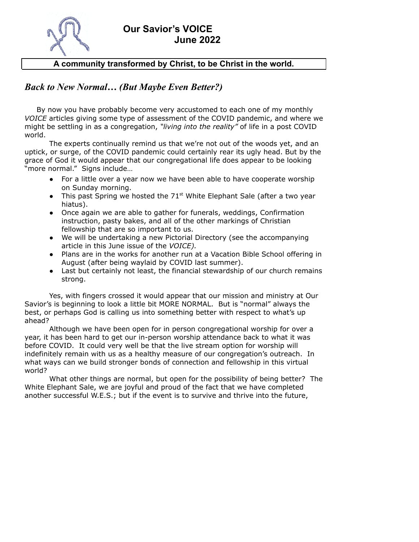

### **Our Savior's VOICE June 2022**

#### **A community transformed by Christ, to be Christ in the world.**

#### *Back to New Normal… (But Maybe Even Better?)*

By now you have probably become very accustomed to each one of my monthly *VOICE* articles giving some type of assessment of the COVID pandemic, and where we might be settling in as a congregation, *"living into the reality"* of life in a post COVID world.

The experts continually remind us that we're not out of the woods yet, and an uptick, or surge, of the COVID pandemic could certainly rear its ugly head. But by the grace of God it would appear that our congregational life does appear to be looking "more normal." Signs include…

- For a little over a year now we have been able to have cooperate worship on Sunday morning.
- This past Spring we hosted the  $71<sup>st</sup>$  White Elephant Sale (after a two year hiatus).
- Once again we are able to gather for funerals, weddings, Confirmation instruction, pasty bakes, and all of the other markings of Christian fellowship that are so important to us.
- We will be undertaking a new Pictorial Directory (see the accompanying article in this June issue of the *VOICE).*
- Plans are in the works for another run at a Vacation Bible School offering in August (after being waylaid by COVID last summer).
- Last but certainly not least, the financial stewardship of our church remains strong.

Yes, with fingers crossed it would appear that our mission and ministry at Our Savior's is beginning to look a little bit MORE NORMAL. But is "normal" always the best, or perhaps God is calling us into something better with respect to what's up ahead?

Although we have been open for in person congregational worship for over a year, it has been hard to get our in-person worship attendance back to what it was before COVID. It could very well be that the live stream option for worship will indefinitely remain with us as a healthy measure of our congregation's outreach. In what ways can we build stronger bonds of connection and fellowship in this virtual world?

What other things are normal, but open for the possibility of being better? The White Elephant Sale, we are joyful and proud of the fact that we have completed another successful W.E.S.; but if the event is to survive and thrive into the future,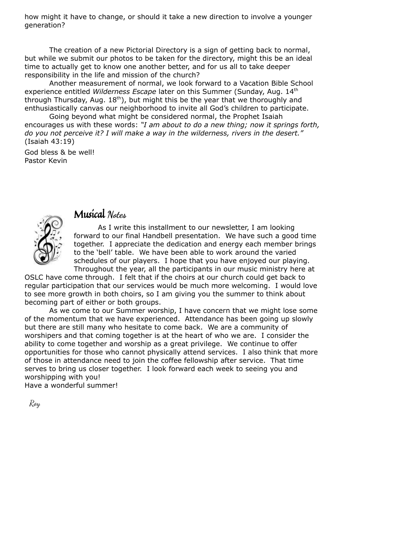how might it have to change, or should it take a new direction to involve a younger generation?

The creation of a new Pictorial Directory is a sign of getting back to normal, but while we submit our photos to be taken for the directory, might this be an ideal time to actually get to know one another better, and for us all to take deeper responsibility in the life and mission of the church?

Another measurement of normal, we look forward to a Vacation Bible School experience entitled *Wilderness Escape* later on this Summer (Sunday, Aug. 14 th through Thursday, Aug.  $18<sup>th</sup>$ ), but might this be the year that we thoroughly and enthusiastically canvas our neighborhood to invite all God's children to participate.

Going beyond what might be considered normal, the Prophet Isaiah encourages us with these words: *"I am about to do a new thing; now it springs forth, do you not perceive it? I will make a way in the wilderness, rivers in the desert."* (Isaiah 43:19)

God bless & be well! Pastor Kevin



## Musical **Notes**

As I write this installment to our newsletter, I am looking forward to our final Handbell presentation. We have such a good time together. I appreciate the dedication and energy each member brings to the 'bell' table. We have been able to work around the varied schedules of our players. I hope that you have enjoyed our playing. Throughout the year, all the participants in our music ministry here at

OSLC have come through. I felt that if the choirs at our church could get back to regular participation that our services would be much more welcoming. I would love to see more growth in both choirs, so I am giving you the summer to think about becoming part of either or both groups.

As we come to our Summer worship, I have concern that we might lose some of the momentum that we have experienced. Attendance has been going up slowly but there are still many who hesitate to come back. We are a community of worshipers and that coming together is at the heart of who we are. I consider the ability to come together and worship as a great privilege. We continue to offer opportunities for those who cannot physically attend services. I also think that more of those in attendance need to join the coffee fellowship after service. That time serves to bring us closer together. I look forward each week to seeing you and worshipping with you!

Have a wonderful summer!

Roy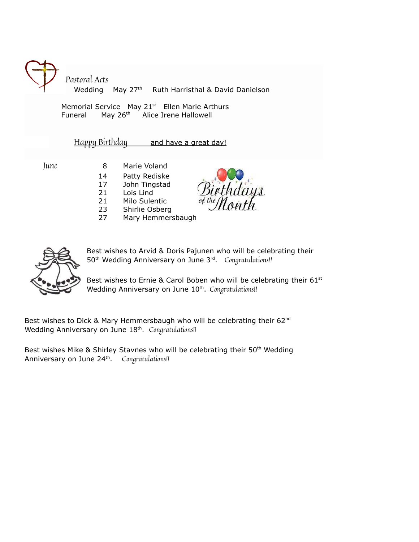Pastoral Acts Wedding May 27<sup>th</sup> Ruth Harristhal & David Danielson

Memorial Service May 21<sup>st</sup> Ellen Marie Arthurs **Funeral** May 26<sup>th</sup> Alice Irene Hallowell

Happy Birthday and have a great day!

- June 8 Marie Voland 14 Patty Rediske
	- 17 John Tingstad
	- 21 Lois Lind
	- 21 Milo Sulentic
	- 23 Shirlie Osberg
	- 27 Mary Hemmersbaugh



Best wishes to Arvid & Doris Pajunen who will be celebrating their 50<sup>th</sup> Wedding Anniversary on June 3<sup>rd</sup>. Congratulations!!

Best wishes to Ernie & Carol Boben who will be celebrating their  $61^{st}$ Wedding Anniversary on June 10<sup>th</sup>. Congratulations!!

Best wishes to Dick & Mary Hemmersbaugh who will be celebrating their 62 $^{\text{nd}}$ Wedding Anniversary on June 18<sup>th</sup>. *Congratulations!!* 

Best wishes Mike & Shirley Stavnes who will be celebrating their  $50<sup>th</sup>$  Wedding Anniversary on June 24<sup>th</sup>. Congratulations!!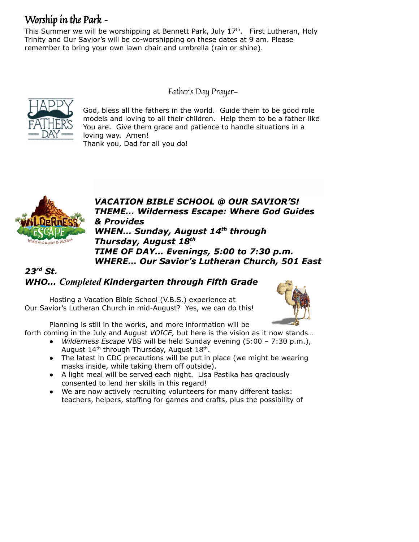# Worship in the Park –

This Summer we will be worshipping at Bennett Park, July 17<sup>th</sup>. First Lutheran, Holy Trinity and Our Savior's will be co-worshipping on these dates at 9 am. Please remember to bring your own lawn chair and umbrella (rain or shine).

Father's Day Prayer—



God, bless all the fathers in the world. Guide them to be good role models and loving to all their children. Help them to be a father like You are. Give them grace and patience to handle situations in a loving way. Amen! Thank you, Dad for all you do!



*VACATION BIBLE SCHOOL @ OUR SAVIOR'S! THEME… Wilderness Escape: Where God Guides & Provides WHEN… Sunday, August 14th through Thursday, August 18th TIME OF DAY… Evenings, 5:00 to 7:30 p.m. WHERE… Our Savior's Lutheran Church, 501 East*

## *23rd St. WHO… Completed Kindergarten through Fifth Grade*

Hosting a Vacation Bible School (V.B.S.) experience at Our Savior's Lutheran Church in mid-August? Yes, we can do this!



Planning is still in the works, and more information will be

forth coming in the July and August *VOICE,* but here is the vision as it now stands…

- *Wilderness Escape* VBS will be held Sunday evening (5:00 7:30 p.m.), August  $14^{\text{th}}$  through Thursday, August  $18^{\text{th}}$ .
- The latest in CDC precautions will be put in place (we might be wearing masks inside, while taking them off outside).
- A light meal will be served each night. Lisa Pastika has graciously consented to lend her skills in this regard!
- We are now actively recruiting volunteers for many different tasks: teachers, helpers, staffing for games and crafts, plus the possibility of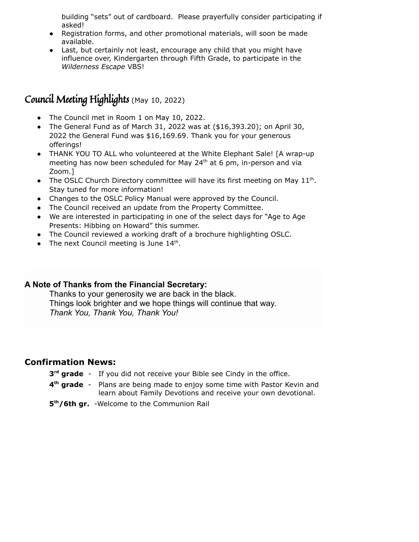building "sets" out of cardboard. Please prayerfully consider participating if asked!

- Registration forms, and other promotional materials, will soon be made available.
- Last, but certainly not least, encourage any child that you might have influence over, Kindergarten through Fifth Grade, to participate in the *Wilderness Escape* VBS!

# Council Meeting Highlights (May 10, 2022)

- The Council met in Room 1 on May 10, 2022.
- The General Fund as of March 31, 2022 was at  $($16,393.20)$$ ; on April 30, 2022 the General Fund was \$16,169.69. Thank you for your generous offerings!
- THANK YOU TO ALL who volunteered at the White Elephant Sale! [A wrap-up meeting has now been scheduled for May 24<sup>th</sup> at 6 pm, in-person and via Zoom.]
- The OSLC Church Directory committee will have its first meeting on May  $11<sup>th</sup>$ . Stay tuned for more information!
- Changes to the OSLC Policy Manual were approved by the Council.
- The Council received an update from the Property Committee.
- We are interested in participating in one of the select days for "Age to Age Presents: Hibbing on Howard" this summer.
- The Council reviewed a working draft of a brochure highlighting OSLC.
- The next Council meeting is June  $14<sup>th</sup>$ .

#### **A Note of Thanks from the Financial Secretary:**

Thanks to your generosity we are back in the black. Things look brighter and we hope things will continue that way. *Thank You, Thank You, Thank You!*

#### **Confirmation News:**

- **3<sup>rd</sup> grade** If you did not receive your Bible see Cindy in the office.
- **4 th grade** Plans are being made to enjoy some time with Pastor Kevin and learn about Family Devotions and receive your own devotional.
- **5 th/6th gr.** -Welcome to the Communion Rail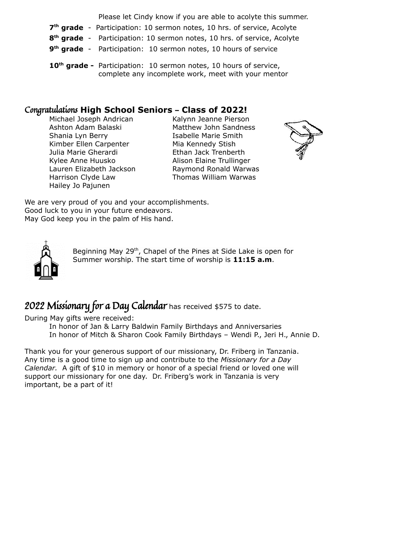Please let Cindy know if you are able to acolyte this summer.

- **7<sup>th</sup> grade** Participation: 10 sermon notes, 10 hrs. of service, Acolyte
- **8 th grade** Participation: 10 sermon notes, 10 hrs. of service, Acolyte
- **9 th grade** Participation: 10 sermon notes, 10 hours of service
- **10 th grade -** Participation: 10 sermon notes, 10 hours of service, complete any incomplete work, meet with your mentor

### Congratulations **High School Seniors – Class of 2022!**

Michael Joseph Andrican Kalynn Jeanne Pierson Shania Lyn Berry **Isabelle Marie Smith** Kimber Ellen Carpenter Mia Kennedy Stish Julia Marie Gherardi Ethan Jack Trenberth Kylee Anne Huusko Alison Elaine Trullinger Hailey Jo Pajunen

Ashton Adam Balaski Matthew John Sandness Lauren Elizabeth Jackson Raymond Ronald Warwas Harrison Clyde Law Thomas William Warwas



We are very proud of you and your accomplishments. Good luck to you in your future endeavors. May God keep you in the palm of His hand.



Beginning May 29<sup>th</sup>, Chapel of the Pines at Side Lake is open for Summer worship. The start time of worship is **11:15 a.m**.

# 2022 Missionary for a Day Calendar has received \$575 to date.

During May gifts were received:

In honor of Jan & Larry Baldwin Family Birthdays and Anniversaries In honor of Mitch & Sharon Cook Family Birthdays – Wendi P., Jeri H., Annie D.

Thank you for your generous support of our missionary, Dr. Friberg in Tanzania. Any time is a good time to sign up and contribute to the *Missionary for a Day Calendar.* A gift of \$10 in memory or honor of a special friend or loved one will support our missionary for one day. Dr. Friberg's work in Tanzania is very important, be a part of it!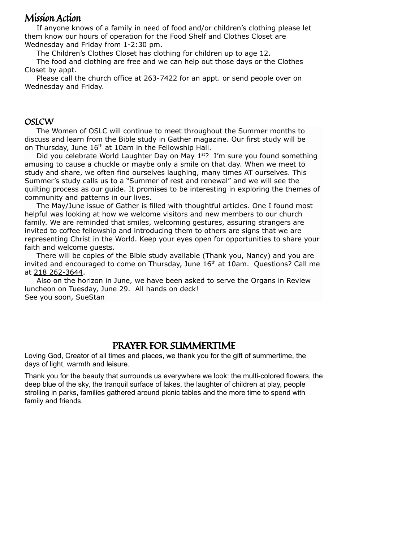## Mission Action

If anyone knows of a family in need of food and/or children's clothing please let them know our hours of operation for the Food Shelf and Clothes Closet are Wednesday and Friday from 1-2:30 pm.

The Children's Clothes Closet has clothing for children up to age 12.

The food and clothing are free and we can help out those days or the Clothes Closet by appt.

Please call the church office at 263-7422 for an appt. or send people over on Wednesday and Friday.

#### **OSLCW**

The Women of OSLC will continue to meet throughout the Summer months to discuss and learn from the Bible study in Gather magazine. Our first study will be on Thursday, June 16<sup>th</sup> at 10am in the Fellowship Hall.

Did you celebrate World Laughter Day on May 1<sup>st</sup>? I'm sure you found something amusing to cause a chuckle or maybe only a smile on that day. When we meet to study and share, we often find ourselves laughing, many times AT ourselves. This Summer's study calls us to a "Summer of rest and renewal" and we will see the quilting process as our guide. It promises to be interesting in exploring the themes of community and patterns in our lives.

The May/June issue of Gather is filled with thoughtful articles. One I found most helpful was looking at how we welcome visitors and new members to our church family. We are reminded that smiles, welcoming gestures, assuring strangers are invited to coffee fellowship and introducing them to others are signs that we are representing Christ in the World. Keep your eyes open for opportunities to share your faith and welcome guests.

There will be copies of the Bible study available (Thank you, Nancy) and you are invited and encouraged to come on Thursday, June  $16<sup>th</sup>$  at  $10$ am. Questions? Call me at 218 262-3644.

Also on the horizon in June, we have been asked to serve the Organs in Review luncheon on Tuesday, June 29. All hands on deck! See you soon, SueStan

## PRAYER FOR SUMMERTIME

Loving God, Creator of all times and places, we thank you for the gift of summertime, the days of light, warmth and leisure.

Thank you for the beauty that surrounds us everywhere we look: the multi-colored flowers, the deep blue of the sky, the tranquil surface of lakes, the laughter of children at play, people strolling in parks, families gathered around picnic tables and the more time to spend with family and friends.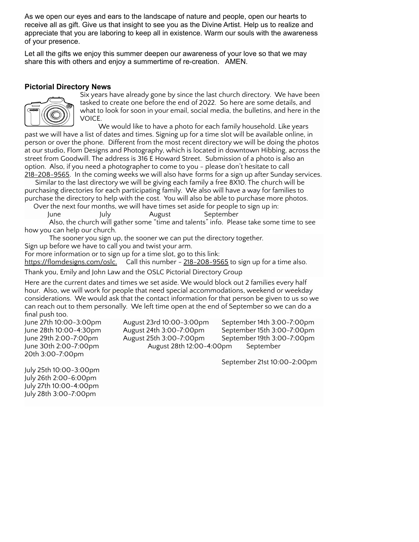As we open our eyes and ears to the landscape of nature and people, open our hearts to receive all as gift. Give us that insight to see you as the Divine Artist. Help us to realize and appreciate that you are laboring to keep all in existence. Warm our souls with the awareness of your presence.

Let all the gifts we enjoy this summer deepen our awareness of your love so that we may share this with others and enjoy a summertime of re-creation. AMEN.

#### **Pictorial Directory News**



Six years have already gone by since the last church directory. We have been tasked to create one before the end of 2022. So here are some details, and what to look for soon in your email, social media, the bulletins, and here in the VOICE.

We would like to have a photo for each family household. Like years past we will have a list of dates and times. Signing up for a time slot will be available online, in

person or over the phone. Different from the most recent directory we will be doing the photos at our studio, Flom Designs and Photography, which is located in downtown Hibbing, across the street from Goodwill. The address is 316 E Howard Street. Submission of a photo is also an option. Also, if you need a photographer to come to you - please don't hesitate to call 218-208-9565. In the coming weeks we will also have forms for a sign up after Sunday services.

Similar to the last directory we will be giving each family a free 8X10. The church will be purchasing directories for each participating family. We also will have a way for families to purchase the directory to help with the cost. You will also be able to purchase more photos. Over the next four months, we will have times set aside for people to sign up in:

June July August September

Also, the church will gather some "time and talents" info. Please take some time to see how you can help our church.

The sooner you sign up, the sooner we can put the directory together.

Sign up before we have to call you and twist your arm.

For more information or to sign up for a time slot, go to this link:

[https://flomdesigns.com/oslc.](https://flomdesigns.com/oslc) Call this number - 218-208-9565 to sign up for a time also.

Thank you, Emily and John Law and the OSLC Pictorial Directory Group

Here are the current dates and times we set aside. We would block out 2 families every half hour. Also, we will work for people that need special accommodations, weekend or weekday considerations. We would ask that the contact information for that person be given to us so we can reach out to them personally. We left time open at the end of September so we can do a final push too.

20th 3:00-7:00pm

June 27th 10:00-3:00pm August 23rd 10:00-3:00pm September 14th 3:00-7:00pm June 28th 10:00-4:30pm August 24th 3:00-7:00pm September 15th 3:00-7:00pm June 29th 2:00-7:00pm August 25th 3:00-7:00pm September 19th 3:00-7:00pm June 30th 2:00-7:00pm August 28th 12:00-4:00pm September

September 21st 10:00-2:00pm

July 25th 10:00-3:00pm July 26th 2:00-6:00pm July 27th 10:00-4:00pm July 28th 3:00-7:00pm